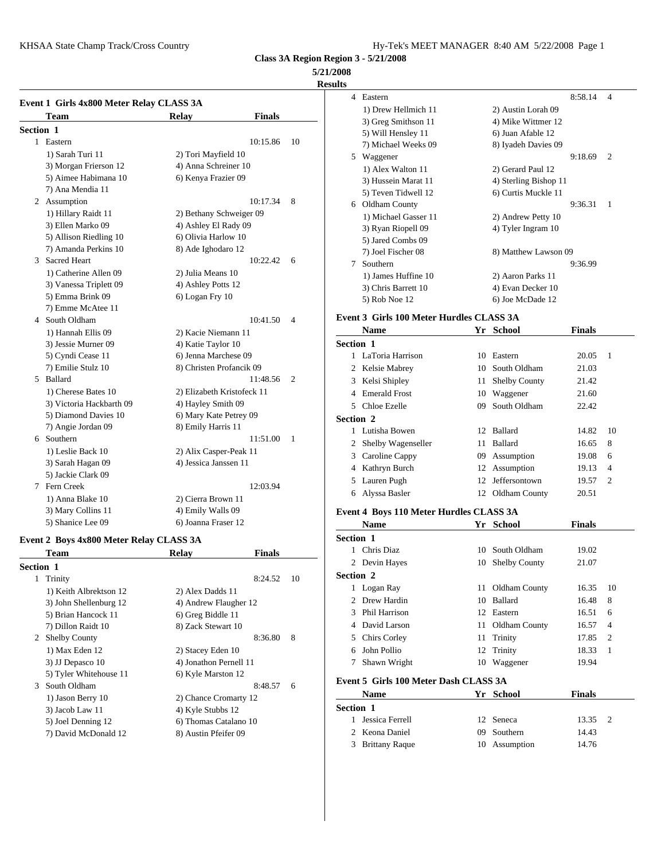KHSAA State Champ Track/Cross Country

| Hy-Tek's MEET MANAGER 8:40 AM 5/22/2008 Page 1 |  |  |
|------------------------------------------------|--|--|
|------------------------------------------------|--|--|

**Class 3A Region Region 3 - 5/21/2008**

#### **5/21/2008**

**Results**

|           | Event 1 Girls 4x800 Meter Relay CLASS 3A |                            |               |                |           | $1)$ Dr    |
|-----------|------------------------------------------|----------------------------|---------------|----------------|-----------|------------|
|           | <b>Team</b>                              | <b>Relay</b>               | <b>Finals</b> |                |           | $3)$ Gro   |
| Section 1 |                                          |                            |               |                |           | 5) Wi      |
|           | 1 Eastern                                |                            | 10:15.86      | 10             |           | 7) Mi      |
|           | 1) Sarah Turi 11                         | 2) Tori Mayfield 10        |               |                |           | 5 Wagg     |
|           | 3) Morgan Frierson 12                    | 4) Anna Schreiner 10       |               |                |           | $1)$ Al    |
|           | 5) Aimee Habimana 10                     | 6) Kenya Frazier 09        |               |                |           | 3) Hu      |
|           | 7) Ana Mendia 11                         |                            |               |                |           | $5)$ Te    |
|           | 2 Assumption                             |                            | 10:17.34      | 8              |           | 6 Oldha    |
|           | 1) Hillary Raidt 11                      | 2) Bethany Schweiger 09    |               |                |           | $1)$ Mi    |
|           | 3) Ellen Marko 09                        | 4) Ashley El Rady 09       |               |                |           | $3)$ Ry    |
|           | 5) Allison Riedling 10                   | 6) Olivia Harlow 10        |               |                |           | 5) Jar     |
|           | 7) Amanda Perkins 10                     | 8) Ade Ighodaro 12         |               |                |           | $7)$ Joe   |
|           | 3 Sacred Heart                           |                            | 10:22.42      | 6              | 7         | South      |
|           | 1) Catherine Allen 09                    | 2) Julia Means 10          |               |                |           | $1)$ Jar   |
|           | 3) Vanessa Triplett 09                   | 4) Ashley Potts 12         |               |                |           | $3)$ Ch    |
|           | 5) Emma Brink 09                         | 6) Logan Fry 10            |               |                |           | 5) Ro      |
|           | 7) Emme McAtee 11                        |                            |               |                |           |            |
|           | 4 South Oldham                           |                            | 10:41.50      | $\overline{4}$ |           | Event 3 Gi |
|           | 1) Hannah Ellis 09                       | 2) Kacie Niemann 11        |               |                |           | Nam        |
|           | 3) Jessie Murner 09                      | 4) Katie Taylor 10         |               |                | Section 1 |            |
|           | 5) Cyndi Cease 11                        | 6) Jenna Marchese 09       |               |                |           | 1 LaTor    |
|           | 7) Emilie Stulz 10                       | 8) Christen Profancik 09   |               |                | 2         | Kelsi      |
|           | 5 Ballard                                |                            | 11:48.56      | $\overline{2}$ | 3         | Kelsi      |
|           | 1) Cherese Bates 10                      | 2) Elizabeth Kristofeck 11 |               |                |           | 4 Emera    |
|           | 3) Victoria Hackbarth 09                 | 4) Hayley Smith 09         |               |                | 5         | Chloe      |
|           | 5) Diamond Davies 10                     | 6) Mary Kate Petrey 09     |               |                | Section 2 |            |
|           | 7) Angie Jordan 09                       | 8) Emily Harris 11         |               |                | 1         | Lutish     |
|           | 6 Southern                               |                            | 11:51.00      | 1              | 2         | Shelb      |
|           | 1) Leslie Back 10                        | 2) Alix Casper-Peak 11     |               |                | 3         | Carol      |
|           | 3) Sarah Hagan 09                        | 4) Jessica Janssen 11      |               |                | 4         | Kathr      |
|           | 5) Jackie Clark 09                       |                            |               |                | 5         |            |
|           | 7 Fern Creek                             |                            | 12:03.94      |                |           | Laure      |
|           | 1) Anna Blake 10                         | 2) Cierra Brown 11         |               |                | 6         | Alyss      |
|           | 3) Mary Collins 11                       | 4) Emily Walls 09          |               |                |           | Event 4 Bo |
|           | 5) Shanice Lee 09                        | 6) Joanna Fraser 12        |               |                |           | Nam        |

# **Event 2 Boys 4x800 Meter Relay CLASS 3A**

|                  | <b>Team</b>            | Relay                  | <b>Finals</b> |    |            | Chris      |
|------------------|------------------------|------------------------|---------------|----|------------|------------|
| <b>Section 1</b> |                        |                        |               |    |            | 2 Devin    |
| 1                | Trinity                |                        | 8:24.52       | 10 | Section 2  |            |
|                  | 1) Keith Albrektson 12 | 2) Alex Dadds 11       |               |    |            | 1 Logar    |
|                  | 3) John Shellenburg 12 | 4) Andrew Flaugher 12  |               |    |            | 2 Drew     |
|                  | 5) Brian Hancock 11    | 6) Greg Biddle 11      |               |    |            | 3 Phil H   |
|                  | 7) Dillon Raidt 10     | 8) Zack Stewart 10     |               |    |            | 4 David    |
|                  | 2 Shelby County        |                        | 8:36.80       | 8  |            | 5 Chirs    |
|                  | 1) Max Eden 12         | 2) Stacey Eden 10      |               |    | 6.         | John I     |
|                  | 3) JJ Depasco 10       | 4) Jonathon Pernell 11 |               |    |            | Shaw:      |
|                  | 5) Tyler Whitehouse 11 | 6) Kyle Marston 12     |               |    |            |            |
| 3                | South Oldham           |                        | 8:48.57       | 6  | Event 5 Gi |            |
|                  | 1) Jason Berry 10      | 2) Chance Cromarty 12  |               |    |            | <b>Nam</b> |
|                  | 3) Jacob Law 11        | 4) Kyle Stubbs 12      |               |    | Section 1  |            |
|                  | 5) Joel Denning 12     | 6) Thomas Catalano 10  |               |    |            | Jessic     |
|                  | 7) David McDonald 12   | 8) Austin Pfeifer 09   |               |    |            | 2 Keona    |
|                  |                        |                        |               |    |            | 2.5        |

| 4  | Eastern              | 8:58.14<br>$\overline{4}$ |
|----|----------------------|---------------------------|
|    | 1) Drew Hellmich 11  | 2) Austin Lorah 09        |
|    | 3) Greg Smithson 11  | 4) Mike Wittmer 12        |
|    | 5) Will Hensley 11   | 6) Juan Afable 12         |
|    | 7) Michael Weeks 09  | 8) Iyadeh Davies 09       |
| 5. | Waggener             | 9:18.69<br>2              |
|    | 1) Alex Walton 11    | 2) Gerard Paul 12         |
|    | 3) Hussein Marat 11  | 4) Sterling Bishop 11     |
|    | 5) Teven Tidwell 12  | 6) Curtis Muckle 11       |
| 6  | Oldham County        | 9:36.31<br>$\overline{1}$ |
|    | 1) Michael Gasser 11 | 2) Andrew Petty 10        |
|    | 3) Ryan Riopell 09   | 4) Tyler Ingram 10        |
|    | 5) Jared Combs 09    |                           |
|    | 7) Joel Fischer 08   | 8) Matthew Lawson 09      |
| 7  | Southern             | 9:36.99                   |
|    | 1) James Huffine 10  | 2) Aaron Parks 11         |
|    | 3) Chris Barrett 10  | 4) Evan Decker 10         |
|    | 5) Rob Noe 12        | 6) Joe McDade 12          |

## **Event 3 Girls 100 Meter Hurdles CLASS 3A**

|                  | <b>Name</b>          |     | Yr School            | <b>Finals</b> |                |
|------------------|----------------------|-----|----------------------|---------------|----------------|
| Section 1        |                      |     |                      |               |                |
|                  | 1 LaToria Harrison   |     | 10 Eastern           | 20.05         | $\overline{1}$ |
|                  | 2 Kelsie Mabrey      | 10  | South Oldham         | 21.03         |                |
|                  | 3 Kelsi Shipley      | 11  | <b>Shelby County</b> | 21.42         |                |
|                  | <b>Emerald Frost</b> | 10  | Waggener             | 21.60         |                |
| 5.               | Chloe Ezelle         | 09  | South Oldham         | 22.42         |                |
| <b>Section 2</b> |                      |     |                      |               |                |
|                  | Lutisha Bowen        |     | 12 Ballard           | 14.82         | 10             |
|                  | 2 Shelby Wagenseller | 11. | Ballard              | 16.65         | 8              |
|                  | 3 Caroline Cappy     | 09  | Assumption           | 19.08         | 6              |
|                  | 4 Kathryn Burch      |     | 12 Assumption        | 19.13         | $\overline{4}$ |
|                  | 5 Lauren Pugh        | 12  | Jeffersontown        | 19.57         | $\overline{2}$ |
| 6                | Alyssa Basler        |     | 12 Oldham County     | 20.51         |                |

## **Event 4 Boys 110 Meter Hurdles CLASS 3A**

|                  | <b>Name</b>                           |    | Yr School            | <b>Finals</b> |                |
|------------------|---------------------------------------|----|----------------------|---------------|----------------|
| <b>Section 1</b> |                                       |    |                      |               |                |
| 1                | Chris Diaz                            | 10 | South Oldham         | 19.02         |                |
| 2                | Devin Hayes                           | 10 | <b>Shelby County</b> | 21.07         |                |
| Section 2        |                                       |    |                      |               |                |
| 1                | Logan Ray                             | 11 | Oldham County        | 16.35         | 10             |
| 2                | Drew Hardin                           | 10 | <b>Ballard</b>       | 16.48         | 8              |
| 3                | Phil Harrison                         | 12 | Eastern              | 16.51         | 6              |
| 4                | David Larson                          | 11 | Oldham County        | 16.57         | $\overline{4}$ |
| 5                | Chirs Corley                          | 11 | Trinity              | 17.85         | 2              |
| 6                | John Pollio                           | 12 | Trinity              | 18.33         | 1              |
| 7                | Shawn Wright                          | 10 | Waggener             | 19.94         |                |
|                  | Event 5 Girls 100 Meter Dash CLASS 3A |    |                      |               |                |
|                  | <b>Name</b>                           | Yr | <b>School</b>        | <b>Finals</b> |                |
| <b>Section 1</b> |                                       |    |                      |               |                |
| 1                | Jessica Ferrell                       | 12 | Seneca               | 13.35         | 2              |
| 2                | Keona Daniel                          | 09 | Southern             | 14.43         |                |
| 3                | <b>Brittany Raque</b>                 | 10 | Assumption           | 14.76         |                |
|                  |                                       |    |                      |               |                |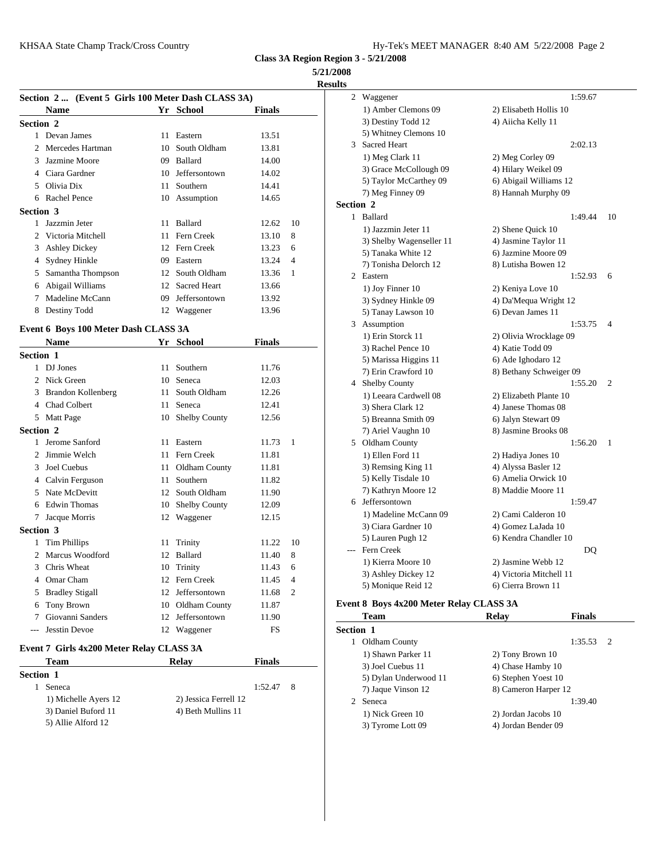**5/21/2008**

**Results**

|                  |                                                    |    |                  |                   |                | <b>Results</b>   |                     |
|------------------|----------------------------------------------------|----|------------------|-------------------|----------------|------------------|---------------------|
|                  | Section 2  (Event 5 Girls 100 Meter Dash CLASS 3A) |    |                  |                   |                |                  | 2 Wagg              |
|                  | <b>Name</b>                                        |    | Yr School        | <b>Finals</b>     |                |                  | 1) An               |
| <b>Section 2</b> |                                                    |    |                  |                   |                |                  | 3) De               |
|                  | 1 Devan James                                      |    | 11 Eastern       | 13.51             |                |                  | 5) Wł               |
|                  | 2 Mercedes Hartman                                 |    | 10 South Oldham  | 13.81             |                | 3                | Sacre               |
|                  | 3 Jazmine Moore                                    |    | 09 Ballard       | 14.00             |                |                  | $1)$ Me             |
|                  | 4 Ciara Gardner                                    |    | 10 Jeffersontown | 14.02             |                |                  | 3) Gra              |
|                  | 5 Olivia Dix                                       |    | 11 Southern      | 14.41             |                |                  | 5) Tay              |
|                  | 6 Rachel Pence                                     |    | 10 Assumption    | 14.65             |                |                  | 7) Me               |
| Section 3        |                                                    |    |                  |                   |                | Section 2        |                     |
|                  | 1 Jazzmin Jeter                                    |    | 11 Ballard       | 12.62             | 10             |                  | 1 Ballar            |
|                  | 2 Victoria Mitchell                                |    | 11 Fern Creek    | 13.10             | 8              |                  | 1) Jaz              |
|                  | 3 Ashley Dickey                                    |    | 12 Fern Creek    | 13.23             | 6              |                  | 3) Sh               |
|                  | 4 Sydney Hinkle                                    |    | 09 Eastern       | 13.24             | $\overline{4}$ |                  | 5) Tai              |
|                  | 5 Samantha Thompson                                |    | 12 South Oldham  | 13.36             | 1              |                  | 7) To:              |
|                  | 6 Abigail Williams                                 |    | 12 Sacred Heart  | 13.66             |                |                  | 2 Easter            |
|                  | 7 Madeline McCann                                  |    | 09 Jeffersontown | 13.92             |                |                  | $1)$ Joy<br>$3)$ Sy |
|                  | 8 Destiny Todd                                     |    | 12 Waggener      | 13.96             |                |                  | 5) Tai              |
|                  |                                                    |    |                  |                   |                |                  | 3 Assur             |
|                  | Event 6 Boys 100 Meter Dash CLASS 3A               |    |                  |                   |                |                  | 1) Eri              |
|                  | <b>Name</b>                                        |    | Yr School        | <b>Finals</b>     |                |                  | 3) Ra               |
| Section 1        |                                                    |    |                  |                   |                |                  | 5) Ma               |
|                  | 1 DJ Jones                                         |    | 11 Southern      | 11.76             |                |                  | 7) Eri              |
|                  | 2 Nick Green                                       |    | 10 Seneca        | 12.03             |                |                  | 4 Shelb             |
|                  | 3 Brandon Kollenberg                               |    | 11 South Oldham  | 12.26             |                |                  | $1)$ Le             |
|                  | 4 Chad Colbert                                     |    | 11 Seneca        | 12.41             |                |                  | 3) Sh               |
|                  | 5 Matt Page                                        |    | 10 Shelby County | 12.56             |                |                  | 5) Bre              |
| <b>Section 2</b> |                                                    |    |                  |                   |                |                  | 7) Ari              |
|                  | 1 Jerome Sanford                                   |    | 11 Eastern       | 11.73             | 1              |                  | 5 Oldha             |
|                  | 2 Jimmie Welch                                     |    | 11 Fern Creek    | 11.81             |                |                  | 1) Ell              |
|                  | 3 Joel Cuebus                                      |    | 11 Oldham County | 11.81             |                |                  | 3) Re:              |
|                  | 4 Calvin Ferguson                                  |    | 11 Southern      | 11.82             |                |                  | 5) Ke               |
|                  | 5 Nate McDevitt                                    |    | 12 South Oldham  | 11.90             |                |                  | 7) Ka               |
|                  | 6 Edwin Thomas                                     |    | 10 Shelby County | 12.09             |                |                  | 6 Jeffer            |
| 7                | Jacque Morris                                      |    | 12 Waggener      | 12.15             |                |                  | $1)$ Ma             |
| Section 3        |                                                    |    |                  |                   |                |                  | $3)$ Cia            |
| 1                | <b>Tim Phillips</b>                                | 11 | Trinity          | 11.22             | 10             |                  | $5)$ Lat            |
|                  | 2 Marcus Woodford                                  |    | 12 Ballard       | 11.40             | 8              |                  | Fern 0              |
| 3                | Chris Wheat                                        |    | 10 Trinity       | 11.43             | 6              |                  | $1)$ Ki             |
| 4                | Omar Cham                                          |    | 12 Fern Creek    | 11.45             | 4              |                  | $3)$ As             |
| 5                | <b>Bradley Stigall</b>                             |    | 12 Jeffersontown | 11.68             | 2              |                  | 5) Mo               |
| 6                | Tony Brown                                         |    | 10 Oldham County | 11.87             |                | Event 8 Bo       |                     |
|                  | 7 Giovanni Sanders                                 |    | 12 Jeffersontown | 11.90             |                |                  | Tean                |
| $\overline{a}$   | <b>Jesstin Devoe</b>                               |    | 12 Waggener      | FS                |                | <b>Section 1</b> |                     |
|                  |                                                    |    |                  |                   |                |                  | 1 Oldha             |
|                  | Event 7 Girls 4x200 Meter Relay CLASS 3A           |    |                  |                   |                |                  | $1)$ Sh             |
|                  | Team                                               |    | <b>Relay</b>     | <b>Finals</b>     |                |                  | 3) Joe              |
| Section 1        |                                                    |    |                  |                   |                |                  | 5) Dy               |
|                  | $1 \quad \text{C}$                                 |    |                  | $1.52 \, 17$ $\&$ |                |                  |                     |

| $\lambda$ only $\lambda$ only $\lambda$ of $\lambda$ in $\lambda$ is $\lambda$ in $\lambda$ |                       |               |   |                   |
|---------------------------------------------------------------------------------------------|-----------------------|---------------|---|-------------------|
| <b>Team</b>                                                                                 | <b>Relay</b>          | <b>Finals</b> |   | $1)$ S<br>$3)$ Jo |
| ection 1                                                                                    |                       |               |   | 5) D              |
| Seneca                                                                                      |                       | 1:52.47       | 8 | 7) Ja             |
| 1) Michelle Ayers 12                                                                        | 2) Jessica Ferrell 12 |               |   | 2 Sene            |
| 3) Daniel Buford 11                                                                         | 4) Beth Mullins 11    |               |   | 1) N              |
| 5) Allie Alford 12                                                                          |                       |               |   | 3) T              |

| uits      |                          |                         |    |
|-----------|--------------------------|-------------------------|----|
| 2         | Waggener                 | 1:59.67                 |    |
|           | 1) Amber Clemons 09      | 2) Elisabeth Hollis 10  |    |
|           | 3) Destiny Todd 12       | 4) Aiicha Kelly 11      |    |
|           | 5) Whitney Clemons 10    |                         |    |
|           | 3 Sacred Heart           | 2:02.13                 |    |
|           | 1) Meg Clark 11          | 2) Meg Corley 09        |    |
|           | 3) Grace McCollough 09   | 4) Hilary Weikel 09     |    |
|           | 5) Taylor McCarthey 09   | 6) Abigail Williams 12  |    |
|           | 7) Meg Finney 09         | 8) Hannah Murphy 09     |    |
| Section 2 |                          |                         |    |
|           | 1 Ballard                | 1:49.44                 | 10 |
|           | 1) Jazzmin Jeter 11      | 2) Shene Quick 10       |    |
|           | 3) Shelby Wagenseller 11 | 4) Jasmine Taylor 11    |    |
|           | 5) Tanaka White 12       | 6) Jazmine Moore 09     |    |
|           | 7) Tonisha Delorch 12    | 8) Lutisha Bowen 12     |    |
|           | 2 Eastern                | 1:52.93                 | 6  |
|           | 1) Joy Finner 10         | 2) Keniya Love 10       |    |
|           | 3) Sydney Hinkle 09      | 4) Da'Mequa Wright 12   |    |
|           | 5) Tanay Lawson 10       | 6) Devan James 11       |    |
|           | 3 Assumption             | 1:53.75                 | 4  |
|           | 1) Erin Storck 11        | 2) Olivia Wrocklage 09  |    |
|           | 3) Rachel Pence 10       | 4) Katie Todd 09        |    |
|           | 5) Marissa Higgins 11    | 6) Ade Ighodaro 12      |    |
|           | 7) Erin Crawford 10      | 8) Bethany Schweiger 09 |    |
|           | 4 Shelby County          | 1:55.20                 | 2  |
|           | 1) Leeara Cardwell 08    | 2) Elizabeth Plante 10  |    |
|           | 3) Shera Clark 12        | 4) Janese Thomas 08     |    |
|           | 5) Breanna Smith 09      | 6) Jalyn Stewart 09     |    |
|           | 7) Ariel Vaughn 10       | 8) Jasmine Brooks 08    |    |
|           | 5 Oldham County          | 1:56.20                 | 1  |
|           | 1) Ellen Ford 11         | 2) Hadiya Jones 10      |    |
|           | 3) Remsing King 11       | 4) Alyssa Basler 12     |    |
|           | 5) Kelly Tisdale 10      | 6) Amelia Orwick 10     |    |
|           | 7) Kathryn Moore 12      | 8) Maddie Moore 11      |    |
|           | 6 Jeffersontown          | 1:59.47                 |    |
|           | 1) Madeline McCann 09    | 2) Cami Calderon 10     |    |
|           | 3) Ciara Gardner 10      | 4) Gomez LaJada 10      |    |
|           | 5) Lauren Pugh 12        | 6) Kendra Chandler 10   |    |
| $---$     | Fern Creek               | DQ                      |    |
|           | 1) Kierra Moore 10       | 2) Jasmine Webb 12      |    |
|           | 3) Ashley Dickey 12      | 4) Victoria Mitchell 11 |    |
|           | 5) Monique Reid 12       | 6) Cierra Brown 11      |    |

## **Event 8 Boys 4x200 Meter Relay CLASS 3A**

|                  | Team                  | <b>Relay</b>         | <b>Finals</b> |               |
|------------------|-----------------------|----------------------|---------------|---------------|
| <b>Section 1</b> |                       |                      |               |               |
|                  | Oldham County         |                      | 1:35.53       | $\mathcal{L}$ |
|                  | 1) Shawn Parker 11    | 2) Tony Brown 10     |               |               |
|                  | 3) Joel Cuebus 11     | 4) Chase Hamby 10    |               |               |
|                  | 5) Dylan Underwood 11 | 6) Stephen Yoest 10  |               |               |
|                  | 7) Jaque Vinson 12    | 8) Cameron Harper 12 |               |               |
| 2                | Seneca                |                      | 1:39.40       |               |
|                  | 1) Nick Green 10      | 2) Jordan Jacobs 10  |               |               |
|                  | 3) Tyrome Lott 09     | 4) Jordan Bender 09  |               |               |
|                  |                       |                      |               |               |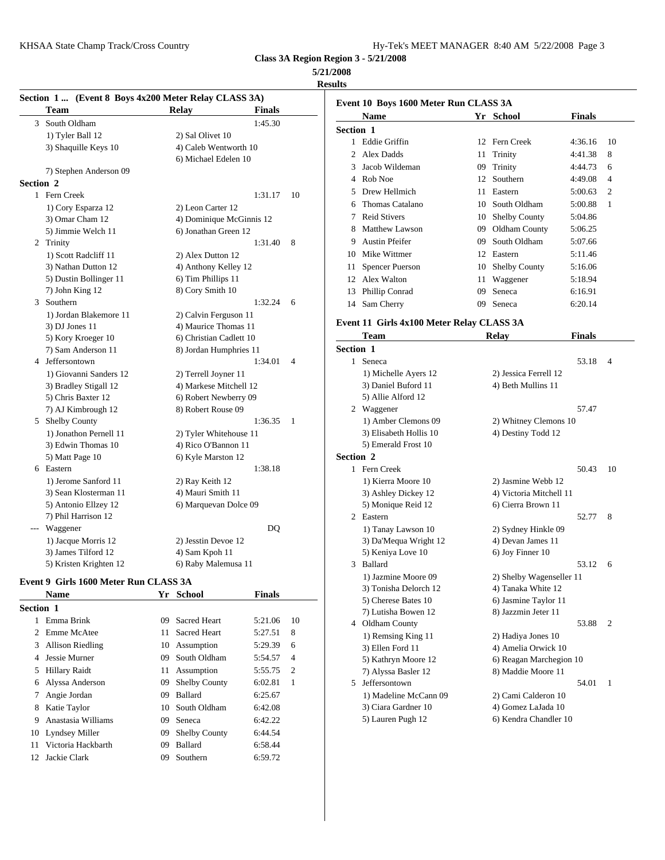KHSAA State Champ Track/Cross Country Hy-Tek's Manager 3:40 AM 5722-2008 Page 3:40 AM 5722-2008 Page 3:40 AM 5722

| Hy-Tek's MEET MANAGER  8:40 AM  5/22/2008  Page 3 |  |  |  |
|---------------------------------------------------|--|--|--|
|---------------------------------------------------|--|--|--|

**Class 3A Region Region 3 - 5/21/2008**

#### **5/21/2008**

**Results**

| Section 1  (Event 8 Boys 4x200 Meter Relay CLASS 3A) |                        |                               | <b>Event 10 Boys</b> |                           |
|------------------------------------------------------|------------------------|-------------------------------|----------------------|---------------------------|
|                                                      | <b>Team</b>            | <b>Relay</b><br><b>Finals</b> |                      | <b>Name</b>               |
|                                                      | 3 South Oldham         | 1:45.30                       |                      | Section 1                 |
|                                                      | 1) Tyler Ball 12       | 2) Sal Olivet 10              |                      | 1 Eddie Grif              |
|                                                      | 3) Shaquille Keys 10   | 4) Caleb Wentworth 10         |                      |                           |
|                                                      |                        | 6) Michael Edelen 10          |                      | Alex Dadd<br>2            |
|                                                      | 7) Stephen Anderson 09 |                               |                      | 3<br>Jacob Wild           |
| Section 2                                            |                        |                               |                      | 4 Rob Noe                 |
|                                                      | 1 Fern Creek           | 1:31.17                       | 10                   | 5<br>Drew Hell            |
|                                                      | 1) Cory Esparza 12     | 2) Leon Carter 12             |                      | 6 Thomas Ca               |
|                                                      | 3) Omar Cham 12        | 4) Dominique McGinnis 12      |                      | Reid Stive<br>$7^{\circ}$ |
|                                                      | 5) Jimmie Welch 11     | 6) Jonathan Green 12          |                      | 8<br>Matthew L            |
|                                                      | 2 Trinity              | 1:31.40                       | 8                    | 9 Austin Pfe              |
|                                                      | 1) Scott Radcliff 11   | 2) Alex Dutton 12             |                      | 10 Mike Witt              |
|                                                      | 3) Nathan Dutton 12    | 4) Anthony Kelley 12          |                      | Spencer Pu<br>11          |
|                                                      | 5) Dustin Bollinger 11 | 6) Tim Phillips 11            |                      | 12 Alex Walte             |
|                                                      | 7) John King 12        | 8) Cory Smith 10              |                      | Phillip Cor<br>13         |
|                                                      | 3 Southern             | 1:32.24                       | 6                    | 14 Sam Cherr              |
|                                                      | 1) Jordan Blakemore 11 | 2) Calvin Ferguson 11         |                      |                           |
|                                                      | 3) DJ Jones 11         | 4) Maurice Thomas 11          |                      | <b>Event 11 Girls</b>     |
|                                                      | 5) Kory Kroeger 10     | 6) Christian Cadlett 10       |                      | <b>Team</b>               |
|                                                      | 7) Sam Anderson 11     | 8) Jordan Humphries 11        |                      | Section 1                 |
|                                                      | 4 Jeffersontown        | 1:34.01                       | $\overline{4}$       | 1 Seneca                  |
|                                                      | 1) Giovanni Sanders 12 | 2) Terrell Joyner 11          |                      | 1) Michell                |
|                                                      | 3) Bradley Stigall 12  | 4) Markese Mitchell 12        |                      | 3) Daniel I               |
|                                                      | 5) Chris Baxter 12     | 6) Robert Newberry 09         |                      | 5) Allie Al               |
|                                                      | 7) AJ Kimbrough 12     | 8) Robert Rouse 09            |                      | 2 Waggener                |
|                                                      | 5 Shelby County        | 1:36.35                       | 1                    | 1) Amber                  |
|                                                      | 1) Jonathon Pernell 11 | 2) Tyler Whitehouse 11        |                      | 3) Elisabet               |
|                                                      | 3) Edwin Thomas 10     | 4) Rico O'Bannon 11           |                      | 5) Emerald                |
|                                                      | 5) Matt Page 10        | 6) Kyle Marston 12            |                      | Section 2                 |
|                                                      | 6 Eastern              | 1:38.18                       |                      | 1 Fern Creek              |
|                                                      | 1) Jerome Sanford 11   | 2) Ray Keith 12               |                      | 1) Kierra N               |
|                                                      | 3) Sean Klosterman 11  | 4) Mauri Smith 11             |                      | 3) Ashley                 |
|                                                      | 5) Antonio Ellzey 12   | 6) Marquevan Dolce 09         |                      | 5) Moniqu                 |
|                                                      | 7) Phil Harrison 12    |                               |                      | 2 Eastern                 |
| $\qquad \qquad -$                                    | Waggener               | DQ                            |                      | 1) Tanay I                |
|                                                      | 1) Jacque Morris 12    | 2) Jesstin Devoe 12           |                      | 3) Da'Meq                 |
|                                                      | 3) James Tilford 12    | 4) Sam Kpoh 11                |                      | 5) Keniya                 |
|                                                      | 5) Kristen Krighten 12 | 6) Raby Malemusa 11           |                      | 3<br>Ballard              |

#### **Event 9 Girls 1600 Meter Run CLASS 3A**

|                  | <b>Name</b>        |    | Yr School            | <b>Finals</b> |                |    | <i>JI</i> 10.<br>5) Ch |
|------------------|--------------------|----|----------------------|---------------|----------------|----|------------------------|
| <b>Section 1</b> |                    |    |                      |               |                |    | 7) Lu                  |
|                  | Emma Brink         | 09 | <b>Sacred Heart</b>  | 5:21.06       | 10             | 4  | Oldha                  |
|                  | 2 Emme McAtee      |    | 11 Sacred Heart      | 5:27.51       | 8              |    | $1)$ Re                |
|                  | 3 Allison Riedling |    | 10 Assumption        | 5:29.39       | 6              |    | 3) Ell                 |
| 4                | Jessie Murner      | 09 | South Oldham         | 5:54.57       | $\overline{4}$ |    | 5) Ka                  |
|                  | 5 Hillary Raidt    |    | 11 Assumption        | 5:55.75       | 2              |    | 7) Aly                 |
|                  | 6 Alyssa Anderson  | 09 | <b>Shelby County</b> | 6:02.81       | 1              | 5. | Jeffer                 |
| 7                | Angie Jordan       | 09 | <b>Ballard</b>       | 6:25.67       |                |    | $1)$ Ma                |
|                  | 8 Katie Taylor     |    | 10 South Oldham      | 6:42.08       |                |    | $3)$ Cia               |
| 9                | Anastasia Williams | 09 | Seneca               | 6:42.22       |                |    | $5)$ Lat               |
|                  | 10 Lyndsey Miller  | 09 | <b>Shelby County</b> | 6:44.54       |                |    |                        |
| 11               | Victoria Hackbarth | 09 | Ballard              | 6:58.44       |                |    |                        |
| 12.              | Jackie Clark       | 09 | Southern             | 6:59.72       |                |    |                        |
|                  |                    |    |                      |               |                |    |                        |

|             | <b>Name</b>            | Yr | School               | <b>Finals</b> |                |
|-------------|------------------------|----|----------------------|---------------|----------------|
| Section 1   |                        |    |                      |               |                |
|             | <b>Eddie Griffin</b>   |    | 12 Fern Creek        | 4:36.16       | 10             |
| $2^{\circ}$ | Alex Dadds             |    | 11 Trinity           | 4:41.38       | 8              |
| 3           | Jacob Wildeman         | 09 | Trinity              | 4:44.73       | 6              |
| 4           | Rob Noe                | 12 | <b>Southern</b>      | 4:49.08       | $\overline{4}$ |
| 5           | Drew Hellmich          | 11 | Eastern              | 5:00.63       | $\mathfrak{D}$ |
| 6           | Thomas Catalano        | 10 | South Oldham         | 5:00.88       | 1              |
| 7           | <b>Reid Stivers</b>    | 10 | <b>Shelby County</b> | 5:04.86       |                |
| 8           | Matthew Lawson         | 09 | Oldham County        | 5:06.25       |                |
| 9           | Austin Pfeifer         | 09 | South Oldham         | 5:07.66       |                |
| 10          | Mike Wittmer           | 12 | Eastern              | 5:11.46       |                |
| 11          | <b>Spencer Puerson</b> | 10 | <b>Shelby County</b> | 5:16.06       |                |
| 12          | Alex Walton            | 11 | Waggener             | 5:18.94       |                |
| 13          | Phillip Conrad         | 09 | Seneca               | 6:16.91       |                |
| 14          | Sam Cherry             | 09 | Seneca               | 6:20.14       |                |

## **Event 11 Girls 4x100 Meter Relay CLASS 3A**

|           | <b>Team</b>            | <b>Relay</b>             | <b>Finals</b> |                |
|-----------|------------------------|--------------------------|---------------|----------------|
| Section 1 |                        |                          |               |                |
|           | 1 Seneca               |                          | 53.18         | $\overline{4}$ |
|           | 1) Michelle Ayers 12   | 2) Jessica Ferrell 12    |               |                |
|           | 3) Daniel Buford 11    | 4) Beth Mullins 11       |               |                |
|           | 5) Allie Alford 12     |                          |               |                |
|           | 2 Waggener             |                          | 57.47         |                |
|           | 1) Amber Clemons 09    | 2) Whitney Clemons 10    |               |                |
|           | 3) Elisabeth Hollis 10 | 4) Destiny Todd 12       |               |                |
|           | 5) Emerald Frost 10    |                          |               |                |
| Section 2 |                        |                          |               |                |
|           | 1 Fern Creek           |                          | 50.43         | 10             |
|           | 1) Kierra Moore 10     | 2) Jasmine Webb 12       |               |                |
|           | 3) Ashley Dickey 12    | 4) Victoria Mitchell 11  |               |                |
|           | 5) Monique Reid 12     | 6) Cierra Brown 11       |               |                |
|           | 2 Eastern              |                          | 52.77         | 8              |
|           | 1) Tanay Lawson 10     | 2) Sydney Hinkle 09      |               |                |
|           | 3) Da'Mequa Wright 12  | 4) Devan James 11        |               |                |
|           | 5) Keniya Love 10      | 6) Joy Finner 10         |               |                |
| 3         | Ballard                |                          | 53.12         | 6              |
|           | 1) Jazmine Moore 09    | 2) Shelby Wagenseller 11 |               |                |
|           | 3) Tonisha Delorch 12  | 4) Tanaka White 12       |               |                |
|           | 5) Cherese Bates 10    | 6) Jasmine Taylor 11     |               |                |
|           | 7) Lutisha Bowen 12    | 8) Jazzmin Jeter 11      |               |                |
|           | 4 Oldham County        |                          | 53.88         | 2              |
|           | 1) Remsing King 11     | 2) Hadiya Jones 10       |               |                |
|           | 3) Ellen Ford 11       | 4) Amelia Orwick 10      |               |                |
|           | 5) Kathryn Moore 12    | 6) Reagan Marchegion 10  |               |                |
|           | 7) Alyssa Basler 12    | 8) Maddie Moore 11       |               |                |
| 5.        | Jeffersontown          |                          | 54.01         | 1              |
|           | 1) Madeline McCann 09  | 2) Cami Calderon 10      |               |                |
|           | 3) Ciara Gardner 10    | 4) Gomez LaJada 10       |               |                |
|           | 5) Lauren Pugh 12      | 6) Kendra Chandler 10    |               |                |
|           |                        |                          |               |                |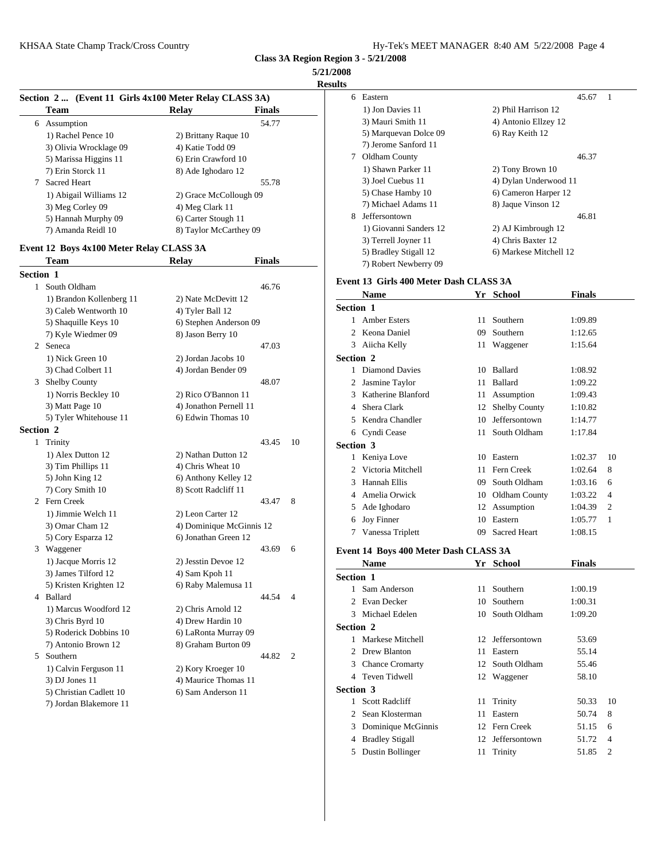**5/21/2008**

**Results**

|                  |                                                        |                        |               | <b>Results</b> |
|------------------|--------------------------------------------------------|------------------------|---------------|----------------|
|                  | Section 2  (Event 11 Girls 4x100 Meter Relay CLASS 3A) |                        |               | 6              |
|                  | Team                                                   | <b>Relay</b>           | <b>Finals</b> |                |
|                  | 6 Assumption                                           |                        | 54.77         |                |
|                  | 1) Rachel Pence 10                                     | 2) Brittany Raque 10   |               |                |
|                  | 3) Olivia Wrocklage 09                                 | 4) Katie Todd 09       |               |                |
|                  | 5) Marissa Higgins 11                                  | 6) Erin Crawford 10    |               | $\tau$         |
|                  | 7) Erin Storck 11                                      | 8) Ade Ighodaro 12     |               |                |
| 7                | <b>Sacred Heart</b>                                    |                        | 55.78         |                |
|                  | 1) Abigail Williams 12                                 | 2) Grace McCollough 09 |               |                |
|                  | 3) Meg Corley 09                                       | 4) Meg Clark 11        |               |                |
|                  | 5) Hannah Murphy 09                                    | 6) Carter Stough 11    |               | 8              |
|                  | 7) Amanda Reidl 10                                     | 8) Taylor McCarthey 09 |               |                |
|                  | Event 12 Boys 4x100 Meter Relay CLASS 3A               |                        |               |                |
|                  | Team                                                   | <b>Relay</b>           | <b>Finals</b> |                |
| <b>Section 1</b> |                                                        |                        |               |                |
|                  | 1 South Oldham                                         |                        | 46.76         | Event          |
|                  | 1) Brandon Kollenberg 11                               | 2) Nate McDevitt 12    |               |                |
|                  | 3) Caleb Wentworth 10                                  | 4) Tyler Ball 12       |               | <b>Section</b> |
|                  | 5) Shaquille Keys 10                                   | 6) Stephen Anderson 09 |               | 1              |
|                  | 7) Kyle Wiedmer 09                                     | 8) Jason Berry 10      |               | 2              |
|                  | 2 Seneca                                               |                        | 47.03         | 3              |
|                  | 1) Nick Green 10                                       | 2) Jordan Jacobs 10    |               | <b>Section</b> |
|                  | 3) Chad Colbert 11                                     | 4) Jordan Bender 09    |               | 1              |
| 3                | <b>Shelby County</b>                                   |                        | 48.07         | 2              |
|                  | 1) Norris Beckley 10                                   | 2) Rico O'Bannon 11    |               | 3              |
|                  |                                                        |                        |               |                |

|           | 1) Norris Beckley 10    | 2) Rico O'Bannon 11      |       |                | 3              | Kathe      |
|-----------|-------------------------|--------------------------|-------|----------------|----------------|------------|
|           | 3) Matt Page 10         | 4) Jonathon Pernell 11   |       |                | 4              | Shera      |
|           | 5) Tyler Whitehouse 11  | 6) Edwin Thomas 10       |       |                | 5              | Kend       |
| Section 2 |                         |                          |       |                | 6              | Cyndi      |
|           | 1 Trinity               |                          | 43.45 | 10             | Section 3      |            |
|           | 1) Alex Dutton 12       | 2) Nathan Dutton 12      |       |                | 1              | Keniy      |
|           | 3) Tim Phillips 11      | 4) Chris Wheat 10        |       |                | 2              | Victo      |
|           | 5) John King 12         | 6) Anthony Kelley 12     |       |                | 3              | Hanna      |
|           | 7) Cory Smith 10        | 8) Scott Radcliff 11     |       |                | 4              | Amel       |
|           | 2 Fern Creek            |                          | 43.47 | 8              |                |            |
|           | 1) Jimmie Welch 11      | 2) Leon Carter 12        |       |                | 5              | Ade I      |
|           | 3) Omar Cham 12         | 4) Dominique McGinnis 12 |       |                | 6              | Joy F      |
|           | 5) Cory Esparza 12      | 6) Jonathan Green 12     |       |                |                | Vanes      |
| 3         | Waggener                |                          | 43.69 | 6              | Event 14 B     |            |
|           | 1) Jacque Morris 12     | 2) Jesstin Devoe 12      |       |                |                | <b>Nam</b> |
|           | 3) James Tilford 12     | 4) Sam Kpoh 11           |       |                | Section 1      |            |
|           | 5) Kristen Krighten 12  | 6) Raby Malemusa 11      |       |                | 1.             | Sam /      |
|           | 4 Ballard               |                          | 44.54 | $\overline{4}$ | $\mathfrak{D}$ | Evan       |
|           | 1) Marcus Woodford 12   | 2) Chris Arnold 12       |       |                |                | Micha      |
|           | 3) Chris Byrd 10        | 4) Drew Hardin 10        |       |                | 3              |            |
|           | 5) Roderick Dobbins 10  | 6) LaRonta Murray 09     |       |                | Section 2      |            |
|           | 7) Antonio Brown 12     | 8) Graham Burton 09      |       |                | 1              | Mark       |
| 5         | Southern                |                          | 44.82 | $\overline{c}$ | 2              | Drew       |
|           | 1) Calvin Ferguson 11   | 2) Kory Kroeger 10       |       |                | 3              | Chano      |
|           | $3)$ DJ Jones 11        | 4) Maurice Thomas 11     |       |                | 4              | Tever      |
|           | 5) Christian Cadlett 10 | 6) Sam Anderson 11       |       |                | Section 3      |            |
|           | 7) Jordan Blakemore 11  |                          |       |                | $\mathbf{1}$   | Scott      |
|           |                         |                          |       |                |                |            |

| 6 Eastern              | 45.67<br>1             |
|------------------------|------------------------|
| 1) Jon Davies 11       | 2) Phil Harrison 12    |
| 3) Mauri Smith 11      | 4) Antonio Ellzey 12   |
| 5) Marquevan Dolce 09  | 6) Ray Keith 12        |
| 7) Jerome Sanford 11   |                        |
| Oldham County<br>7     | 46.37                  |
| 1) Shawn Parker 11     | 2) Tony Brown 10       |
| 3) Joel Cuebus 11      | 4) Dylan Underwood 11  |
| 5) Chase Hamby 10      | 6) Cameron Harper 12   |
| 7) Michael Adams 11    | 8) Jaque Vinson 12     |
| 8<br>Jeffersontown     | 46.81                  |
| 1) Giovanni Sanders 12 | 2) AJ Kimbrough 12     |
| 3) Terrell Joyner 11   | 4) Chris Baxter 12     |
| 5) Bradley Stigall 12  | 6) Markese Mitchell 12 |
| 7) Robert Newberry 09  |                        |

#### **Event 13 Girls 400 Meter Dash CLASS 3A**

|                  | <b>Name</b>                           | Yr | <b>School</b>        | <b>Finals</b> |    |
|------------------|---------------------------------------|----|----------------------|---------------|----|
| <b>Section 1</b> |                                       |    |                      |               |    |
| 1                | <b>Amber Esters</b>                   | 11 | Southern             | 1:09.89       |    |
| 2.               | Keona Daniel                          | 09 | Southern             | 1:12.65       |    |
| 3                | Aiicha Kelly                          | 11 | Waggener             | 1:15.64       |    |
| Section 2        |                                       |    |                      |               |    |
| 1.               | Diamond Davies                        | 10 | Ballard              | 1:08.92       |    |
| 2                | Jasmine Taylor                        | 11 | Ballard              | 1:09.22       |    |
| 3                | Katherine Blanford                    | 11 | Assumption           | 1:09.43       |    |
| 4                | Shera Clark                           | 12 | <b>Shelby County</b> | 1:10.82       |    |
| 5                | Kendra Chandler                       | 10 | Jeffersontown        | 1:14.77       |    |
| 6                | Cyndi Cease                           | 11 | South Oldham         | 1:17.84       |    |
| Section 3        |                                       |    |                      |               |    |
| 1                | Keniya Love                           | 10 | Eastern              | 1:02.37       | 10 |
| 2                | Victoria Mitchell                     | 11 | Fern Creek           | 1:02.64       | 8  |
| 3                | Hannah Ellis                          | 09 | South Oldham         | 1:03.16       | 6  |
| 4                | Amelia Orwick                         | 10 | Oldham County        | 1:03.22       | 4  |
| 5                | Ade Ighodaro                          | 12 | Assumption           | 1:04.39       | 2  |
| 6                | Joy Finner                            | 10 | Eastern              | 1:05.77       | 1  |
| 7                | Vanessa Triplett                      | 09 | <b>Sacred Heart</b>  | 1:08.15       |    |
|                  | Event 14 Boys 400 Meter Dash CLASS 3A |    |                      |               |    |
|                  | <b>Name</b>                           | Yr | School               | <b>Finals</b> |    |
| <b>Section 1</b> |                                       |    |                      |               |    |
| 1.               | Sam Anderson                          | 11 | Southern             | 1:00.19       |    |
| 2                | Evan Decker                           | 10 | Southern             | 1:00.31       |    |
| 3                | Michael Edelen                        | 10 | South Oldham         | 1:09.20       |    |
| <b>Section 2</b> |                                       |    |                      |               |    |

1 Markese Mitchell 12 Jeffersontown 53.69 2 Drew Blanton 11 Eastern 55.14 3 Chance Cromarty 12 South Oldham 55.46 4 Teven Tidwell 12 Waggener 58.10

 Scott Radcliff 11 Trinity 50.33 10 Sean Klosterman 11 Eastern 50.74 8 Dominique McGinnis 12 Fern Creek 51.15 6 Bradley Stigall 12 Jeffersontown 51.72 4 Dustin Bollinger 11 Trinity 51.85 2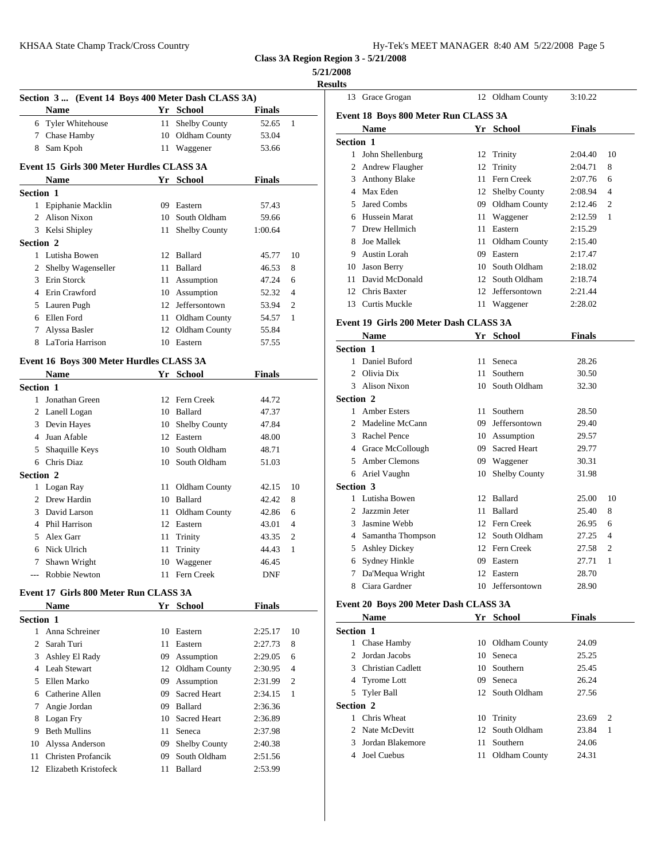| Iy-Tek's MEET MANAGER 8:40 AM 5/22/2008 Page 5 |  |  |  |
|------------------------------------------------|--|--|--|
|------------------------------------------------|--|--|--|

**5/21/2008**

|                  |                                                    |    |                      |               |              | <b>Results</b>                |
|------------------|----------------------------------------------------|----|----------------------|---------------|--------------|-------------------------------|
|                  | Section 3  (Event 14 Boys 400 Meter Dash CLASS 3A) |    |                      |               |              | 13 Grace Grogan               |
|                  | <b>Name</b>                                        |    | Yr School            | <b>Finals</b> |              | Event 18 Boys 800 Meter Run O |
|                  | 6 Tyler Whitehouse                                 |    | 11 Shelby County     | 52.65         | 1            | Name                          |
|                  | 7 Chase Hamby                                      |    | 10 Oldham County     | 53.04         |              | Section 1                     |
|                  | 8 Sam Kpoh                                         |    | 11 Waggener          | 53.66         |              | 1 John Shellenburg            |
|                  | Event 15 Girls 300 Meter Hurdles CLASS 3A          |    |                      |               |              | 2 Andrew Flaugher             |
|                  | Name                                               |    | Yr School            | Finals        |              | <b>Anthony Blake</b><br>3     |
|                  |                                                    |    |                      |               |              | 4 Max Eden                    |
| <b>Section 1</b> |                                                    |    |                      |               |              | Jared Combs<br>5.             |
|                  | 1 Epiphanie Macklin                                |    | 09 Eastern           | 57.43         |              | 6 Hussein Marat               |
|                  | 2 Alison Nixon                                     |    | 10 South Oldham      | 59.66         |              |                               |
|                  | 3 Kelsi Shipley                                    |    | 11 Shelby County     | 1:00.64       |              | 7 Drew Hellmich               |
| Section 2        |                                                    |    |                      |               |              | 8 Joe Mallek                  |
|                  | 1 Lutisha Bowen                                    |    | 12 Ballard           | 45.77         | 10           | Austin Lorah<br>9.            |
|                  | 2 Shelby Wagenseller                               |    | 11 Ballard           | 46.53         | 8            | 10 Jason Berry                |
|                  | 3 Erin Storck                                      |    | 11 Assumption        | 47.24         | 6            | David McDonald<br>11          |
|                  | 4 Erin Crawford                                    |    | 10 Assumption        | 52.32         | 4            | Chris Baxter<br>12            |
|                  | 5 Lauren Pugh                                      |    | 12 Jeffersontown     | 53.94         | 2            | 13 Curtis Muckle              |
|                  | 6 Ellen Ford                                       |    | 11 Oldham County     | 54.57         | 1            | Event 19 Girls 200 Meter Dash |
| 7.               | Alyssa Basler                                      |    | 12 Oldham County     | 55.84         |              | <b>Name</b>                   |
|                  | 8 LaToria Harrison                                 |    | 10 Eastern           | 57.55         |              | Section 1                     |
|                  | Event 16 Boys 300 Meter Hurdles CLASS 3A           |    |                      |               |              | 1 Daniel Buford               |
|                  |                                                    |    |                      |               |              | Olivia Dix<br>2               |
|                  | Name                                               |    | Yr School            | <b>Finals</b> |              | 3 Alison Nixon                |
| <b>Section 1</b> |                                                    |    |                      |               |              |                               |
|                  | 1 Jonathan Green                                   |    | 12 Fern Creek        | 44.72         |              | Section 2                     |
|                  | 2 Lanell Logan                                     |    | 10 Ballard           | 47.37         |              | 1 Amber Esters                |
|                  | 3 Devin Hayes                                      |    | 10 Shelby County     | 47.84         |              | 2 Madeline McCann             |
|                  | 4 Juan Afable                                      |    | 12 Eastern           | 48.00         |              | 3 Rachel Pence                |
| 5                | Shaquille Keys                                     |    | 10 South Oldham      | 48.71         |              | Grace McCollough<br>4         |
|                  | 6 Chris Diaz                                       |    | 10 South Oldham      | 51.03         |              | 5 Amber Clemons               |
| Section 2        |                                                    |    |                      |               |              | 6 Ariel Vaughn                |
|                  | 1 Logan Ray                                        |    | 11 Oldham County     | 42.15         | 10           | <b>Section 3</b>              |
|                  | 2 Drew Hardin                                      |    | 10 Ballard           | 42.42         | 8            | 1 Lutisha Bowen               |
| 3                | David Larson                                       |    | 11 Oldham County     | 42.86         | 6            | 2 Jazzmin Jeter               |
|                  | 4 Phil Harrison                                    |    | 12 Eastern           | 43.01         | 4            | 3 Jasmine Webb                |
| 5.               | Alex Garr                                          |    | 11 Trinity           | 43.35         | 2            | 4 Samantha Thompson           |
|                  | 6 Nick Ulrich                                      |    | 11 Trinity           | 44.43         | $\mathbf{1}$ | 5 Ashley Dickey               |
| $\tau$           | Shawn Wright                                       |    | 10 Waggener          | 46.45         |              | 6 Sydney Hinkle               |
|                  | --- Robbie Newton                                  |    | 11 Fern Creek        | DNF           |              | 7 Da'Mequa Wright             |
|                  |                                                    |    |                      |               |              | 8 Ciara Gardner               |
|                  | Event 17 Girls 800 Meter Run CLASS 3A              |    |                      |               |              |                               |
|                  | Name                                               |    | Yr School            | <b>Finals</b> |              | Event 20 Boys 200 Meter Dash  |
| Section 1        |                                                    |    |                      |               |              | Name                          |
|                  | 1 Anna Schreiner                                   |    | 10 Eastern           | 2:25.17       | 10           | Section 1                     |
| 2                | Sarah Turi                                         |    | 11 Eastern           | 2:27.73       | 8            | 1 Chase Hamby                 |
| 3                | Ashley El Rady                                     | 09 | Assumption           | 2:29.05       | 6            | Jordan Jacobs<br>$\mathbf{2}$ |
|                  | 4 Leah Stewart                                     |    | 12 Oldham County     | 2:30.95       | 4            | Christian Cadlett<br>3        |
|                  | 5 Ellen Marko                                      | 09 | Assumption           | 2:31.99       | 2            | 4 Tyrome Lott                 |
| 6                | Catherine Allen                                    | 09 | <b>Sacred Heart</b>  | 2:34.15       | 1            | 5 Tyler Ball                  |
| 7                | Angie Jordan                                       |    | 09 Ballard           | 2:36.36       |              | Section 2                     |
| 8                | Logan Fry                                          |    | 10 Sacred Heart      | 2:36.89       |              | 1 Chris Wheat                 |
| 9                | <b>Beth Mullins</b>                                |    | 11 Seneca            | 2:37.98       |              | 2 Nate McDevitt               |
| 10               | Alyssa Anderson                                    | 09 | <b>Shelby County</b> | 2:40.38       |              | Jordan Blakemore<br>3         |
| 11               | Christen Profancik                                 | 09 | South Oldham         | 2:51.56       |              | 4 Joel Cuebus                 |
|                  | 12 Elizabeth Kristofeck                            |    | 11 Ballard           | 2:53.99       |              |                               |
|                  |                                                    |    |                      |               |              |                               |
|                  |                                                    |    |                      |               |              |                               |

| esults           |                                        |     |                                  |                |        |
|------------------|----------------------------------------|-----|----------------------------------|----------------|--------|
|                  | 13 Grace Grogan                        |     | 12 Oldham County                 | 3:10.22        |        |
|                  | Event 18 Boys 800 Meter Run CLASS 3A   |     |                                  |                |        |
|                  | <b>Name</b>                            |     | Yr School                        | <b>Finals</b>  |        |
| <b>Section 1</b> |                                        |     |                                  |                |        |
|                  | 1 John Shellenburg                     |     | 12 Trinity                       | 2:04.40        | 10     |
|                  | 2 Andrew Flaugher                      | 12  | Trinity                          | 2:04.71        | 8      |
|                  | 3 Anthony Blake                        |     | 11 Fern Creek                    | 2:07.76        | 6      |
|                  | 4 Max Eden                             |     | 12 Shelby County                 | 2:08.94        | 4      |
| 5.               | <b>Jared Combs</b>                     |     | 09 Oldham County                 | 2:12.46        | 2      |
| 6                | Hussein Marat                          |     | 11 Waggener                      | 2:12.59        | 1      |
| 7                | Drew Hellmich                          |     | 11 Eastern                       | 2:15.29        |        |
| 8                | <b>Joe Mallek</b>                      | 11  | Oldham County                    | 2:15.40        |        |
| 9                | Austin Lorah                           |     | 09 Eastern                       | 2:17.47        |        |
|                  | 10 Jason Berry                         |     | 10 South Oldham                  | 2:18.02        |        |
|                  | 11 David McDonald                      |     | 12 South Oldham                  | 2:18.74        |        |
|                  | 12 Chris Baxter                        |     | 12 Jeffersontown                 | 2:21.44        |        |
|                  | 13 Curtis Muckle                       |     | 11 Waggener                      | 2:28.02        |        |
|                  | Event 19 Girls 200 Meter Dash CLASS 3A |     |                                  |                |        |
|                  | Name                                   |     | Yr School                        | Finals         |        |
| <b>Section 1</b> |                                        |     |                                  |                |        |
|                  | 1 Daniel Buford                        | 11  | Seneca                           | 28.26          |        |
|                  | 2 Olivia Dix                           | 11. | Southern                         | 30.50          |        |
|                  | 3 Alison Nixon                         |     | 10 South Oldham                  | 32.30          |        |
| <b>Section 2</b> |                                        |     |                                  |                |        |
|                  | 1 Amber Esters                         |     | 11 Southern                      | 28.50          |        |
|                  | 2 Madeline McCann                      |     | 09 Jeffersontown                 | 29.40          |        |
|                  | 3 Rachel Pence                         |     | 10 Assumption                    | 29.57          |        |
|                  | 4 Grace McCollough                     |     | 09 Sacred Heart                  | 29.77          |        |
|                  | 5 Amber Clemons                        |     | 09 Waggener                      | 30.31          |        |
|                  | 6 Ariel Vaughn                         |     | 10 Shelby County                 | 31.98          |        |
| <b>Section 3</b> |                                        |     |                                  |                |        |
|                  | 1 Lutisha Bowen                        |     | 12 Ballard                       | 25.00          | 10     |
|                  | 2 Jazzmin Jeter                        |     | 11 Ballard                       | 25.40          | 8      |
|                  |                                        |     |                                  |                |        |
|                  | 3 Jasmine Webb<br>4 Samantha Thompson  |     | 12 Fern Creek<br>12 South Oldham | 26.95<br>27.25 | 6<br>4 |
|                  |                                        |     |                                  |                |        |
|                  | 5 Ashley Dickey                        |     | 12 Fern Creek                    | 27.58          | 2<br>1 |
| 6                | Sydney Hinkle                          |     | 09 Eastern<br>12 Eastern         | 27.71<br>28.70 |        |
|                  | 7 Da'Mequa Wright<br>8 Ciara Gardner   |     |                                  |                |        |
|                  |                                        |     | 10 Jeffersontown                 | 28.90          |        |
|                  | Event 20 Boys 200 Meter Dash CLASS 3A  |     |                                  |                |        |
|                  | Name                                   |     | Yr School                        | Finals         |        |
| Section 1        |                                        |     |                                  |                |        |
|                  | 1 Chase Hamby                          |     | 10 Oldham County                 | 24.09          |        |
|                  | 2 Jordan Jacobs                        | 10  | Seneca                           | 25.25          |        |
|                  | 3 Christian Cadlett                    |     | 10 Southern                      | 25.45          |        |
|                  | 4 Tyrome Lott                          |     | 09 Seneca                        | 26.24          |        |
|                  | 5 Tyler Ball                           |     | 12 South Oldham                  | 27.56          |        |
| Section 2        |                                        |     |                                  |                |        |
|                  | 1 Chris Wheat                          |     | 10 Trinity                       | 23.69          | 2      |
|                  | 2 Nate McDevitt                        | 12  | South Oldham                     | 23.84          | 1      |
|                  | 3 Jordan Blakemore                     | 11  | Southern                         | 24.06          |        |
|                  | 4 Joel Cuebus                          |     | 11 Oldham County                 | 24.31          |        |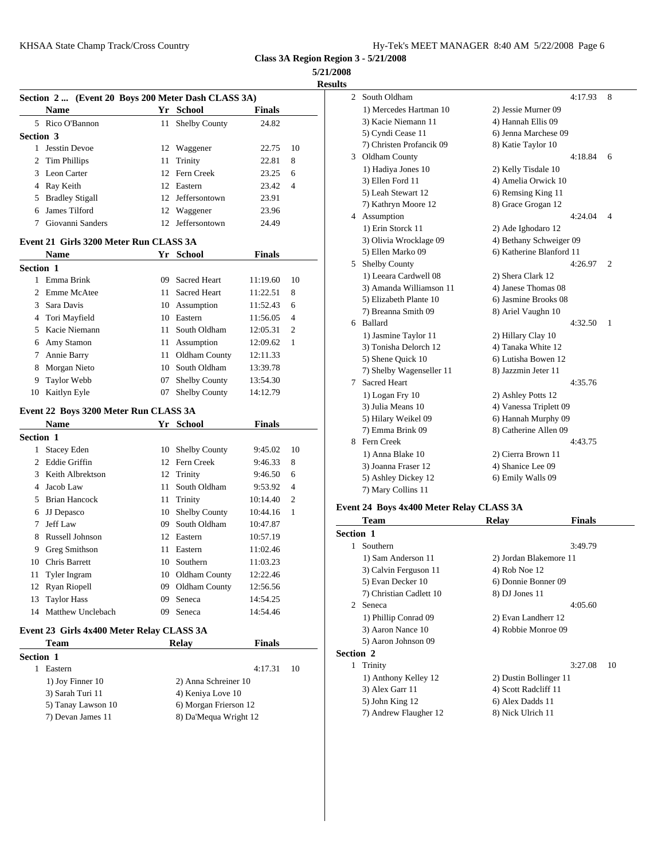**5/21/2008 Results**

|                  |                                                    |    |                                          |                      |                     | results    |                  |
|------------------|----------------------------------------------------|----|------------------------------------------|----------------------|---------------------|------------|------------------|
|                  | Section 2  (Event 20 Boys 200 Meter Dash CLASS 3A) |    |                                          |                      |                     |            | 2 South          |
|                  | <b>Name</b>                                        |    | Yr School                                | <b>Finals</b>        |                     |            | $1)$ Me          |
|                  | 5 Rico O'Bannon                                    |    | 11 Shelby County                         | 24.82                |                     |            | 3) Ka            |
| <b>Section 3</b> |                                                    |    |                                          |                      |                     |            | 5) Cy            |
|                  | 1 Jesstin Devoe                                    |    | 12 Waggener                              | 22.75                | 10                  |            | $7)$ Ch          |
|                  | 2 Tim Phillips                                     | 11 | Trinity                                  | 22.81                | 8                   |            | 3 Oldha          |
|                  | 3 Leon Carter                                      |    | 12 Fern Creek                            | 23.25                | 6                   |            | 1) Ha            |
|                  | 4 Ray Keith                                        |    | 12 Eastern                               | 23.42                | $\overline{4}$      |            | 3) Ell           |
|                  | 5 Bradley Stigall                                  |    | 12 Jeffersontown                         | 23.91                |                     |            | 5) Lea<br>7) Ka  |
| 6                | James Tilford                                      |    | 12 Waggener                              | 23.96                |                     |            | 4 Assur          |
|                  | 7 Giovanni Sanders                                 |    | 12 Jeffersontown                         | 24.49                |                     |            | $1)$ Eri         |
|                  | Event 21 Girls 3200 Meter Run CLASS 3A             |    |                                          |                      |                     |            | 3) Oli           |
|                  | Name                                               |    | Yr School                                | <b>Finals</b>        |                     |            | 5) Ell           |
| Section 1        |                                                    |    |                                          |                      |                     | 5          | Shelb            |
|                  | 1 Emma Brink                                       | 09 | Sacred Heart                             | 11:19.60             | 10                  |            | $1)$ Le          |
|                  | 2 Emme McAtee                                      |    | 11 Sacred Heart                          | 11:22.51             | 8                   |            | 3) An            |
|                  | 3 Sara Davis                                       |    |                                          |                      |                     |            | 5) Eli           |
|                  | 4 Tori Mayfield                                    |    | 10 Assumption<br>10 Eastern              | 11:52.43<br>11:56.05 | 6<br>$\overline{4}$ |            | $7)$ Bre         |
|                  | 5 Kacie Niemann                                    | 11 | South Oldham                             |                      | 2                   |            | 6 Ballar         |
|                  |                                                    |    |                                          | 12:05.31             |                     |            | $1)$ Jas         |
|                  | 6 Amy Stamon<br>7 Annie Barry                      |    | 11 Assumption<br>11 Oldham County        | 12:09.62             | 1                   |            | 3) To:           |
|                  | 8 Morgan Nieto                                     |    | 10 South Oldham                          | 12:11.33             |                     |            | 5) Sh            |
|                  | Taylor Webb                                        |    |                                          | 13:39.78             |                     |            | 7) Sho           |
| 9                |                                                    | 07 | <b>Shelby County</b><br>07 Shelby County | 13:54.30             |                     | 7          | Sacre            |
|                  | 10 Kaitlyn Eyle                                    |    |                                          | 14:12.79             |                     |            | 1) Lo            |
|                  | Event 22 Boys 3200 Meter Run CLASS 3A              |    |                                          |                      |                     |            | $3)$ Jul         |
|                  | <b>Name</b>                                        |    | Yr School                                | <b>Finals</b>        |                     |            | 5) Hil<br>7) En  |
| Section 1        |                                                    |    |                                          |                      |                     |            | 8 Fern           |
|                  | 1 Stacey Eden                                      |    | 10 Shelby County                         | 9:45.02              | 10                  |            | 1) An            |
|                  | 2 Eddie Griffin                                    |    | 12 Fern Creek                            | 9:46.33              | 8                   |            | $3)$ Joa         |
|                  | 3 Keith Albrektson                                 |    | 12 Trinity                               | 9:46.50              | 6                   |            | 5) Asl           |
|                  | 4 Jacob Law                                        |    | 11 South Oldham                          | 9:53.92              | $\overline{4}$      |            | 7) Ma            |
|                  | 5 Brian Hancock                                    |    | 11 Trinity                               | 10:14.40             | 2                   |            |                  |
|                  | 6 JJ Depasco                                       |    | 10 Shelby County                         | 10:44.16             | 1                   | Event 24 B |                  |
| $7^{\circ}$      | <b>Jeff Law</b>                                    | 09 | South Oldham                             | 10:47.87             |                     |            | Tean             |
| 8                | <b>Russell Johnson</b>                             |    | 12 Eastern                               | 10:57.19             |                     | Section 1  |                  |
| 9                | Greg Smithson                                      | 11 | Eastern                                  | 11:02.46             |                     |            | 1 South          |
|                  | 10 Chris Barrett                                   |    | 10 Southern                              | 11:03.23             |                     |            | 1) Sa            |
| 11               | Tyler Ingram                                       |    | 10 Oldham County                         | 12:22.46             |                     |            | 3) Ca            |
|                  | 12 Ryan Riopell                                    |    | 09 Oldham County                         | 12:56.56             |                     |            | 5) Ev<br>$7)$ Ch |
| 13               | <b>Taylor Hass</b>                                 |    | 09 Seneca                                | 14:54.25             |                     |            | 2 Senec          |
|                  | 14 Matthew Unclebach                               |    | 09 Seneca                                | 14:54.46             |                     |            | 1) Ph            |
|                  | Event 23 Girls 4x400 Meter Relay CLASS 3A          |    |                                          |                      |                     |            | 3) Aa            |
|                  | <b>Team</b>                                        |    |                                          | <b>Finals</b>        |                     |            | 5) Aa            |
|                  |                                                    |    | <b>Relay</b>                             |                      |                     | c.         | $\gamma$         |

| 1 саш              | IXCIA V               | т шаіз  |    |           |
|--------------------|-----------------------|---------|----|-----------|
| <b>Section 1</b>   |                       |         |    | Section 2 |
| Eastern            |                       | 4:17.31 | 10 | Trinit    |
| 1) Joy Finner 10   | 2) Anna Schreiner 10  |         |    | 1) An     |
| 3) Sarah Turi 11   | 4) Keniya Love 10     |         |    | $3)$ Ale  |
| 5) Tanay Lawson 10 | 6) Morgan Frierson 12 |         |    | $5)$ Joh  |
| 7) Devan James 11  | 8) Da'Mequa Wright 12 |         |    | $7)$ An   |
|                    |                       |         |    |           |

| 2 | South Oldham             |                          | 4:17.93 | 8 |
|---|--------------------------|--------------------------|---------|---|
|   | 1) Mercedes Hartman 10   | 2) Jessie Murner 09      |         |   |
|   | 3) Kacie Niemann 11      | 4) Hannah Ellis 09       |         |   |
|   | 5) Cyndi Cease 11        | 6) Jenna Marchese 09     |         |   |
|   | 7) Christen Profancik 09 | 8) Katie Taylor 10       |         |   |
|   | 3 Oldham County          |                          | 4:18.84 | 6 |
|   | 1) Hadiya Jones 10       | 2) Kelly Tisdale 10      |         |   |
|   | 3) Ellen Ford 11         | 4) Amelia Orwick 10      |         |   |
|   | 5) Leah Stewart 12       | 6) Remsing King 11       |         |   |
|   | 7) Kathryn Moore 12      | 8) Grace Grogan 12       |         |   |
|   | 4 Assumption             |                          | 4:24.04 | 4 |
|   | 1) Erin Storck 11        | 2) Ade Ighodaro 12       |         |   |
|   | 3) Olivia Wrocklage 09   | 4) Bethany Schweiger 09  |         |   |
|   | 5) Ellen Marko 09        | 6) Katherine Blanford 11 |         |   |
| 5 | Shelby County            |                          | 4:26.97 | 2 |
|   | 1) Leeara Cardwell 08    | 2) Shera Clark 12        |         |   |
|   | 3) Amanda Williamson 11  | 4) Janese Thomas 08      |         |   |
|   | 5) Elizabeth Plante 10   | 6) Jasmine Brooks 08     |         |   |
|   | 7) Breanna Smith 09      | 8) Ariel Vaughn 10       |         |   |
|   | 6 Ballard                |                          | 4:32.50 | 1 |
|   | 1) Jasmine Taylor 11     | 2) Hillary Clay 10       |         |   |
|   | 3) Tonisha Delorch 12    | 4) Tanaka White 12       |         |   |
|   | 5) Shene Quick 10        | 6) Lutisha Bowen 12      |         |   |
|   | 7) Shelby Wagenseller 11 | 8) Jazzmin Jeter 11      |         |   |
| 7 | <b>Sacred Heart</b>      |                          | 4:35.76 |   |
|   | 1) Logan Fry 10          | 2) Ashley Potts 12       |         |   |
|   | 3) Julia Means 10        | 4) Vanessa Triplett 09   |         |   |
|   | 5) Hilary Weikel 09      | 6) Hannah Murphy 09      |         |   |
|   | 7) Emma Brink 09         | 8) Catherine Allen 09    |         |   |
|   | 8 Fern Creek             |                          | 4:43.75 |   |
|   | 1) Anna Blake 10         | 2) Cierra Brown 11       |         |   |
|   | 3) Joanna Fraser 12      | 4) Shanice Lee 09        |         |   |
|   | 5) Ashley Dickey 12      | 6) Emily Walls 09        |         |   |
|   | 7) Mary Collins 11       |                          |         |   |
|   |                          |                          |         |   |

## **Event 24 Boys 4x400 Meter Relay CLASS 3A**

|                  | Team                    | Relay                  | <b>Finals</b> |    |
|------------------|-------------------------|------------------------|---------------|----|
| Section 1        |                         |                        |               |    |
| 1                | Southern                |                        | 3:49.79       |    |
|                  | 1) Sam Anderson 11      | 2) Jordan Blakemore 11 |               |    |
|                  | 3) Calvin Ferguson 11   | 4) Rob Noe 12          |               |    |
|                  | 5) Evan Decker 10       | 6) Donnie Bonner 09    |               |    |
|                  | 7) Christian Cadlett 10 | 8) DJ Jones 11         |               |    |
| $\mathcal{L}$    | Seneca                  |                        | 4:05.60       |    |
|                  | 1) Phillip Conrad 09    | 2) Evan Landherr 12    |               |    |
|                  | 3) Aaron Nance 10       | 4) Robbie Monroe 09    |               |    |
|                  | 5) Aaron Johnson 09     |                        |               |    |
| <b>Section 2</b> |                         |                        |               |    |
|                  | Trinity                 |                        | 3:27.08       | 10 |
|                  | 1) Anthony Kelley 12    | 2) Dustin Bollinger 11 |               |    |
|                  | 3) Alex Garr 11         | 4) Scott Radcliff 11   |               |    |
|                  | 5) John King 12         | 6) Alex Dadds 11       |               |    |
|                  | 7) Andrew Flaugher 12   | 8) Nick Ulrich 11      |               |    |